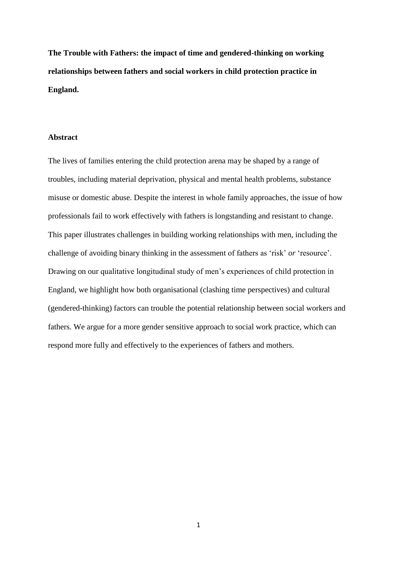**The Trouble with Fathers: the impact of time and gendered-thinking on working relationships between fathers and social workers in child protection practice in England.**

## **Abstract**

The lives of families entering the child protection arena may be shaped by a range of troubles, including material deprivation, physical and mental health problems, substance misuse or domestic abuse. Despite the interest in whole family approaches, the issue of how professionals fail to work effectively with fathers is longstanding and resistant to change. This paper illustrates challenges in building working relationships with men, including the challenge of avoiding binary thinking in the assessment of fathers as 'risk' *or* 'resource'. Drawing on our qualitative longitudinal study of men's experiences of child protection in England, we highlight how both organisational (clashing time perspectives) and cultural (gendered-thinking) factors can trouble the potential relationship between social workers and fathers. We argue for a more gender sensitive approach to social work practice, which can respond more fully and effectively to the experiences of fathers and mothers.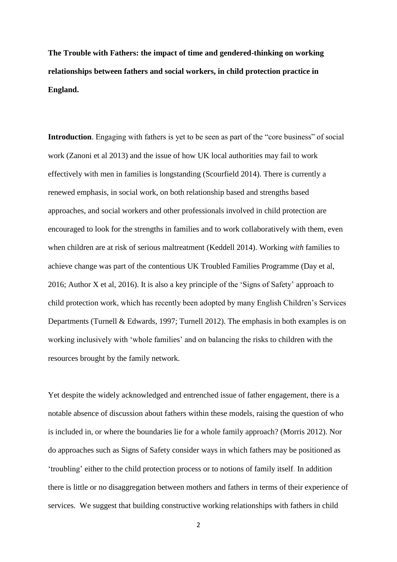**The Trouble with Fathers: the impact of time and gendered-thinking on working relationships between fathers and social workers, in child protection practice in England.**

**Introduction**. Engaging with fathers is yet to be seen as part of the "core business" of social work (Zanoni et al 2013) and the issue of how UK local authorities may fail to work effectively with men in families is longstanding (Scourfield 2014). There is currently a renewed emphasis, in social work, on both relationship based and strengths based approaches, and social workers and other professionals involved in child protection are encouraged to look for the strengths in families and to work collaboratively with them, even when children are at risk of serious maltreatment (Keddell 2014). Working *with* families to achieve change was part of the contentious UK Troubled Families Programme (Day et al, 2016; Author X et al, 2016). It is also a key principle of the 'Signs of Safety' approach to child protection work, which has recently been adopted by many English Children's Services Departments (Turnell & Edwards, 1997; Turnell 2012). The emphasis in both examples is on working inclusively with 'whole families' and on balancing the risks to children with the resources brought by the family network.

Yet despite the widely acknowledged and entrenched issue of father engagement, there is a notable absence of discussion about fathers within these models, raising the question of who is included in, or where the boundaries lie for a whole family approach? (Morris 2012). Nor do approaches such as Signs of Safety consider ways in which fathers may be positioned as 'troubling' either to the child protection process or to notions of family itself. In addition there is little or no disaggregation between mothers and fathers in terms of their experience of services. We suggest that building constructive working relationships with fathers in child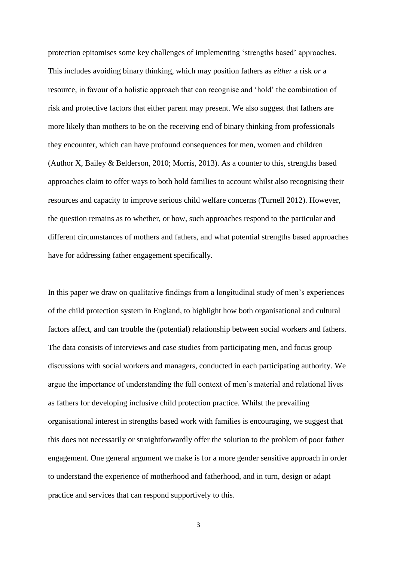protection epitomises some key challenges of implementing 'strengths based' approaches. This includes avoiding binary thinking, which may position fathers as *either* a risk *or* a resource, in favour of a holistic approach that can recognise and 'hold' the combination of risk and protective factors that either parent may present. We also suggest that fathers are more likely than mothers to be on the receiving end of binary thinking from professionals they encounter, which can have profound consequences for men, women and children (Author X, Bailey & Belderson, 2010; Morris, 2013). As a counter to this, strengths based approaches claim to offer ways to both hold families to account whilst also recognising their resources and capacity to improve serious child welfare concerns (Turnell 2012). However, the question remains as to whether, or how, such approaches respond to the particular and different circumstances of mothers and fathers, and what potential strengths based approaches have for addressing father engagement specifically.

In this paper we draw on qualitative findings from a longitudinal study of men's experiences of the child protection system in England, to highlight how both organisational and cultural factors affect, and can trouble the (potential) relationship between social workers and fathers. The data consists of interviews and case studies from participating men, and focus group discussions with social workers and managers, conducted in each participating authority. We argue the importance of understanding the full context of men's material and relational lives as fathers for developing inclusive child protection practice. Whilst the prevailing organisational interest in strengths based work with families is encouraging, we suggest that this does not necessarily or straightforwardly offer the solution to the problem of poor father engagement. One general argument we make is for a more gender sensitive approach in order to understand the experience of motherhood and fatherhood, and in turn, design or adapt practice and services that can respond supportively to this.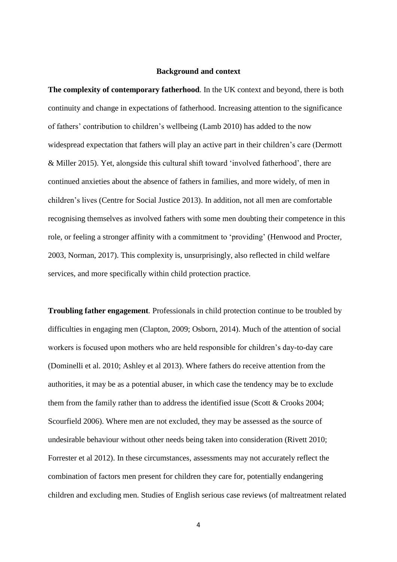#### **Background and context**

**The complexity of contemporary fatherhood***.* In the UK context and beyond, there is both continuity and change in expectations of fatherhood. Increasing attention to the significance of fathers' contribution to children's wellbeing (Lamb 2010) has added to the now widespread expectation that fathers will play an active part in their children's care (Dermott & Miller 2015). Yet, alongside this cultural shift toward 'involved fatherhood', there are continued anxieties about the absence of fathers in families, and more widely, of men in children's lives (Centre for Social Justice 2013). In addition, not all men are comfortable recognising themselves as involved fathers with some men doubting their competence in this role, or feeling a stronger affinity with a commitment to 'providing' (Henwood and Procter, 2003, Norman, 2017). This complexity is, unsurprisingly, also reflected in child welfare services, and more specifically within child protection practice.

**Troubling father engagement***.* Professionals in child protection continue to be troubled by difficulties in engaging men (Clapton, 2009; Osborn, 2014). Much of the attention of social workers is focused upon mothers who are held responsible for children's day-to-day care (Dominelli et al. 2010; Ashley et al 2013). Where fathers do receive attention from the authorities, it may be as a potential abuser, in which case the tendency may be to exclude them from the family rather than to address the identified issue (Scott  $&$  Crooks 2004; Scourfield 2006). Where men are not excluded, they may be assessed as the source of undesirable behaviour without other needs being taken into consideration (Rivett 2010; Forrester et al 2012). In these circumstances, assessments may not accurately reflect the combination of factors men present for children they care for, potentially endangering children and excluding men. Studies of English serious case reviews (of maltreatment related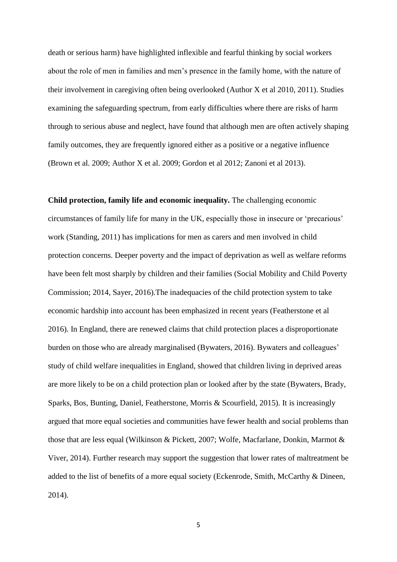death or serious harm) have highlighted inflexible and fearful thinking by social workers about the role of men in families and men's presence in the family home, with the nature of their involvement in caregiving often being overlooked (Author X et al 2010, 2011). Studies examining the safeguarding spectrum, from early difficulties where there are risks of harm through to serious abuse and neglect, have found that although men are often actively shaping family outcomes, they are frequently ignored either as a positive or a negative influence (Brown et al. 2009; Author X et al. 2009; Gordon et al 2012; Zanoni et al 2013).

**Child protection, family life and economic inequality.** The challenging economic circumstances of family life for many in the UK, especially those in insecure or 'precarious' work (Standing, 2011) has implications for men as carers and men involved in child protection concerns. Deeper poverty and the impact of deprivation as well as welfare reforms have been felt most sharply by children and their families (Social Mobility and Child Poverty Commission; 2014, Sayer, 2016).The inadequacies of the child protection system to take economic hardship into account has been emphasized in recent years (Featherstone et al 2016). In England, there are renewed claims that child protection places a disproportionate burden on those who are already marginalised (Bywaters, 2016). Bywaters and colleagues' study of child welfare inequalities in England, showed that children living in deprived areas are more likely to be on a child protection plan or looked after by the state (Bywaters, Brady, Sparks, Bos, Bunting, Daniel, Featherstone, Morris & Scourfield, 2015). It is increasingly argued that more equal societies and communities have fewer health and social problems than those that are less equal (Wilkinson & Pickett, 2007; Wolfe, Macfarlane, Donkin, Marmot & Viver, 2014). Further research may support the suggestion that lower rates of maltreatment be added to the list of benefits of a more equal society (Eckenrode, Smith, McCarthy & Dineen, 2014).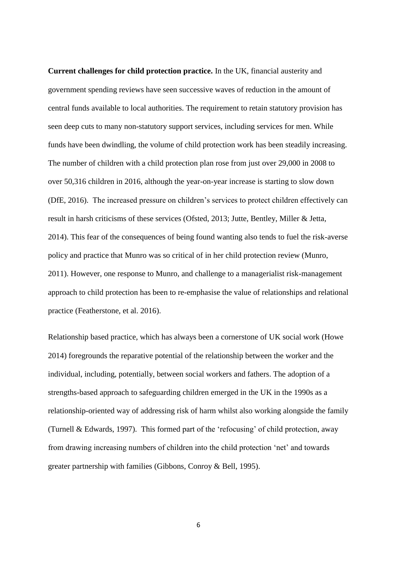**Current challenges for child protection practice.** In the UK, financial austerity and government spending reviews have seen successive waves of reduction in the amount of central funds available to local authorities. The requirement to retain statutory provision has seen deep cuts to many non-statutory support services, including services for men. While funds have been dwindling, the volume of child protection work has been steadily increasing. The number of children with a child protection plan rose from just over 29,000 in 2008 to over 50,316 children in 2016, although the year-on-year increase is starting to slow down (DfE, 2016). The increased pressure on children's services to protect children effectively can result in harsh criticisms of these services (Ofsted, 2013; Jutte, Bentley, Miller & Jetta, 2014). This fear of the consequences of being found wanting also tends to fuel the risk-averse policy and practice that Munro was so critical of in her child protection review (Munro, 2011). However, one response to Munro, and challenge to a managerialist risk-management approach to child protection has been to re-emphasise the value of relationships and relational practice (Featherstone, et al. 2016).

Relationship based practice, which has always been a cornerstone of UK social work (Howe 2014) foregrounds the reparative potential of the relationship between the worker and the individual, including, potentially, between social workers and fathers. The adoption of a strengths-based approach to safeguarding children emerged in the UK in the 1990s as a relationship-oriented way of addressing risk of harm whilst also working alongside the family (Turnell & Edwards, 1997). This formed part of the 'refocusing' of child protection, away from drawing increasing numbers of children into the child protection 'net' and towards greater partnership with families (Gibbons, Conroy & Bell, 1995).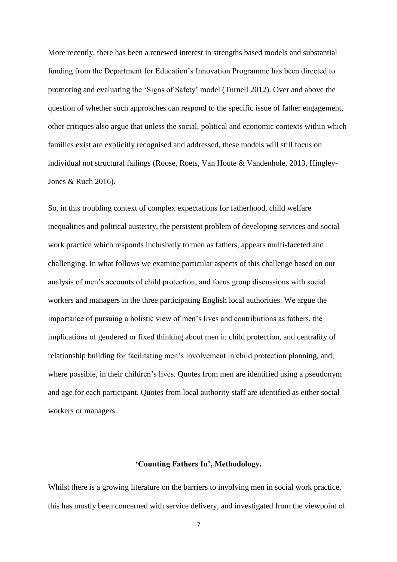More recently, there has been a renewed interest in strengths based models and substantial funding from the Department for Education's Innovation Programme has been directed to promoting and evaluating the 'Signs of Safety' model (Turnell 2012). Over and above the question of whether such approaches can respond to the specific issue of father engagement, other critiques also argue that unless the social, political and economic contexts within which families exist are explicitly recognised and addressed, these models will still focus on individual not structural failings (Roose, Roets, Van Houte & Vandenhole, 2013, Hingley-Jones & Ruch 2016).

So, in this troubling context of complex expectations for fatherhood, child welfare inequalities and political austerity, the persistent problem of developing services and social work practice which responds inclusively to men as fathers, appears multi-faceted and challenging. In what follows we examine particular aspects of this challenge based on our analysis of men's accounts of child protection, and focus group discussions with social workers and managers in the three participating English local authorities. We argue the importance of pursuing a holistic view of men's lives and contributions as fathers, the implications of gendered or fixed thinking about men in child protection, and centrality of relationship building for facilitating men's involvement in child protection planning, and, where possible, in their children's lives. Quotes from men are identified using a pseudonym and age for each participant. Quotes from local authority staff are identified as either social workers or managers.

# **'Counting Fathers In', Methodology.**

Whilst there is a growing literature on the barriers to involving men in social work practice, this has mostly been concerned with service delivery, and investigated from the viewpoint of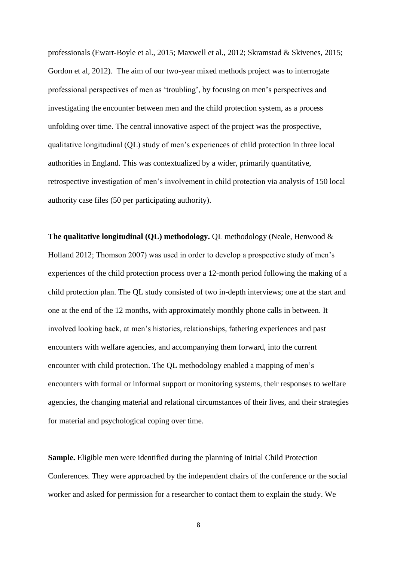professionals (Ewart-Boyle et al., 2015; Maxwell et al., 2012; Skramstad & Skivenes, 2015; Gordon et al, 2012). The aim of our two-year mixed methods project was to interrogate professional perspectives of men as 'troubling', by focusing on men's perspectives and investigating the encounter between men and the child protection system, as a process unfolding over time. The central innovative aspect of the project was the prospective, qualitative longitudinal (QL) study of men's experiences of child protection in three local authorities in England. This was contextualized by a wider, primarily quantitative, retrospective investigation of men's involvement in child protection via analysis of 150 local authority case files (50 per participating authority).

**The qualitative longitudinal (QL) methodology.** QL methodology (Neale, Henwood & Holland 2012; Thomson 2007) was used in order to develop a prospective study of men's experiences of the child protection process over a 12-month period following the making of a child protection plan. The QL study consisted of two in-depth interviews; one at the start and one at the end of the 12 months, with approximately monthly phone calls in between. It involved looking back, at men's histories, relationships, fathering experiences and past encounters with welfare agencies, and accompanying them forward, into the current encounter with child protection. The QL methodology enabled a mapping of men's encounters with formal or informal support or monitoring systems, their responses to welfare agencies, the changing material and relational circumstances of their lives, and their strategies for material and psychological coping over time.

**Sample.** Eligible men were identified during the planning of Initial Child Protection Conferences. They were approached by the independent chairs of the conference or the social worker and asked for permission for a researcher to contact them to explain the study. We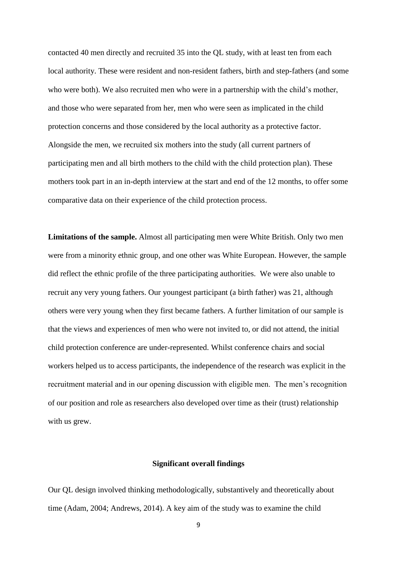contacted 40 men directly and recruited 35 into the QL study, with at least ten from each local authority. These were resident and non-resident fathers, birth and step-fathers (and some who were both). We also recruited men who were in a partnership with the child's mother, and those who were separated from her, men who were seen as implicated in the child protection concerns and those considered by the local authority as a protective factor. Alongside the men, we recruited six mothers into the study (all current partners of participating men and all birth mothers to the child with the child protection plan). These mothers took part in an in-depth interview at the start and end of the 12 months, to offer some comparative data on their experience of the child protection process.

**Limitations of the sample.** Almost all participating men were White British. Only two men were from a minority ethnic group, and one other was White European. However, the sample did reflect the ethnic profile of the three participating authorities. We were also unable to recruit any very young fathers. Our youngest participant (a birth father) was 21, although others were very young when they first became fathers. A further limitation of our sample is that the views and experiences of men who were not invited to, or did not attend, the initial child protection conference are under-represented. Whilst conference chairs and social workers helped us to access participants, the independence of the research was explicit in the recruitment material and in our opening discussion with eligible men. The men's recognition of our position and role as researchers also developed over time as their (trust) relationship with us grew.

## **Significant overall findings**

Our QL design involved thinking methodologically, substantively and theoretically about time (Adam, 2004; Andrews, 2014). A key aim of the study was to examine the child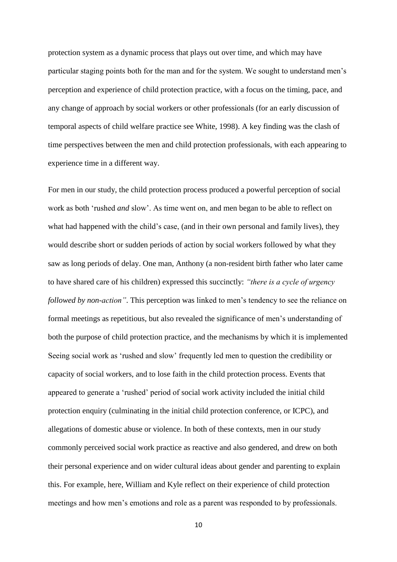protection system as a dynamic process that plays out over time, and which may have particular staging points both for the man and for the system. We sought to understand men's perception and experience of child protection practice, with a focus on the timing, pace, and any change of approach by social workers or other professionals (for an early discussion of temporal aspects of child welfare practice see White, 1998). A key finding was the clash of time perspectives between the men and child protection professionals, with each appearing to experience time in a different way.

For men in our study, the child protection process produced a powerful perception of social work as both 'rushed *and* slow'. As time went on, and men began to be able to reflect on what had happened with the child's case, (and in their own personal and family lives), they would describe short or sudden periods of action by social workers followed by what they saw as long periods of delay. One man, Anthony (a non-resident birth father who later came to have shared care of his children) expressed this succinctly: *"there is a cycle of urgency followed by non-action*". This perception was linked to men's tendency to see the reliance on formal meetings as repetitious, but also revealed the significance of men's understanding of both the purpose of child protection practice, and the mechanisms by which it is implemented Seeing social work as 'rushed and slow' frequently led men to question the credibility or capacity of social workers, and to lose faith in the child protection process. Events that appeared to generate a 'rushed' period of social work activity included the initial child protection enquiry (culminating in the initial child protection conference, or ICPC), and allegations of domestic abuse or violence. In both of these contexts, men in our study commonly perceived social work practice as reactive and also gendered, and drew on both their personal experience and on wider cultural ideas about gender and parenting to explain this. For example, here, William and Kyle reflect on their experience of child protection meetings and how men's emotions and role as a parent was responded to by professionals.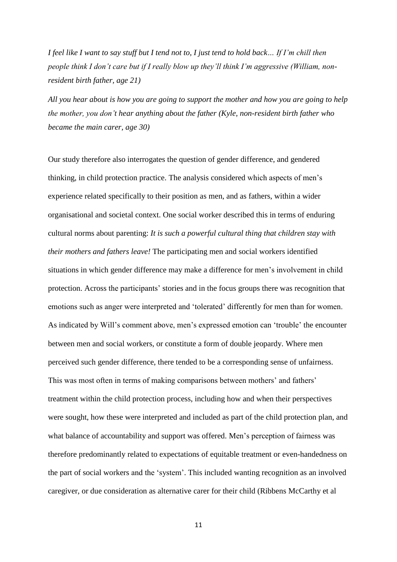*I feel like I want to say stuff but I tend not to, I just tend to hold back… If I'm chill then people think I don't care but if I really blow up they'll think I'm aggressive (William, nonresident birth father, age 21)*

*All you hear about is how you are going to support the mother and how you are going to help the mother, you don't hear anything about the father (Kyle, non-resident birth father who became the main carer, age 30)*

Our study therefore also interrogates the question of gender difference, and gendered thinking, in child protection practice. The analysis considered which aspects of men's experience related specifically to their position as men, and as fathers, within a wider organisational and societal context. One social worker described this in terms of enduring cultural norms about parenting: *It is such a powerful cultural thing that children stay with their mothers and fathers leave!* The participating men and social workers identified situations in which gender difference may make a difference for men's involvement in child protection. Across the participants' stories and in the focus groups there was recognition that emotions such as anger were interpreted and 'tolerated' differently for men than for women. As indicated by Will's comment above, men's expressed emotion can 'trouble' the encounter between men and social workers, or constitute a form of double jeopardy. Where men perceived such gender difference, there tended to be a corresponding sense of unfairness. This was most often in terms of making comparisons between mothers' and fathers' treatment within the child protection process, including how and when their perspectives were sought, how these were interpreted and included as part of the child protection plan, and what balance of accountability and support was offered. Men's perception of fairness was therefore predominantly related to expectations of equitable treatment or even-handedness on the part of social workers and the 'system'. This included wanting recognition as an involved caregiver, or due consideration as alternative carer for their child (Ribbens McCarthy et al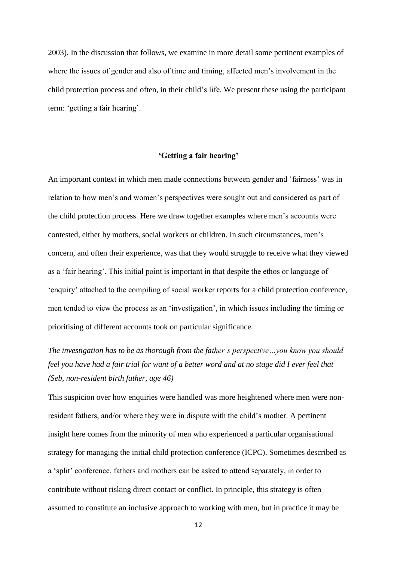2003). In the discussion that follows, we examine in more detail some pertinent examples of where the issues of gender and also of time and timing, affected men's involvement in the child protection process and often, in their child's life. We present these using the participant term: 'getting a fair hearing'.

#### **'Getting a fair hearing'**

An important context in which men made connections between gender and 'fairness' was in relation to how men's and women's perspectives were sought out and considered as part of the child protection process. Here we draw together examples where men's accounts were contested, either by mothers, social workers or children. In such circumstances, men's concern, and often their experience, was that they would struggle to receive what they viewed as a 'fair hearing'. This initial point is important in that despite the ethos or language of 'enquiry' attached to the compiling of social worker reports for a child protection conference, men tended to view the process as an 'investigation', in which issues including the timing or prioritising of different accounts took on particular significance.

*The investigation has to be as thorough from the father's perspective…you know you should feel you have had a fair trial for want of a better word and at no stage did I ever feel that (Seb, non-resident birth father, age 46)*

This suspicion over how enquiries were handled was more heightened where men were nonresident fathers, and/or where they were in dispute with the child's mother. A pertinent insight here comes from the minority of men who experienced a particular organisational strategy for managing the initial child protection conference (ICPC). Sometimes described as a 'split' conference, fathers and mothers can be asked to attend separately, in order to contribute without risking direct contact or conflict. In principle, this strategy is often assumed to constitute an inclusive approach to working with men, but in practice it may be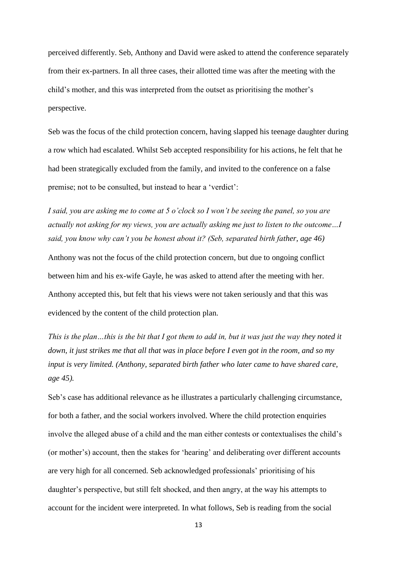perceived differently. Seb, Anthony and David were asked to attend the conference separately from their ex-partners. In all three cases, their allotted time was after the meeting with the child's mother, and this was interpreted from the outset as prioritising the mother's perspective.

Seb was the focus of the child protection concern, having slapped his teenage daughter during a row which had escalated. Whilst Seb accepted responsibility for his actions, he felt that he had been strategically excluded from the family, and invited to the conference on a false premise; not to be consulted, but instead to hear a 'verdict':

*I said, you are asking me to come at 5 o'clock so I won't be seeing the panel, so you are actually not asking for my views, you are actually asking me just to listen to the outcome…I said, you know why can't you be honest about it? (Seb, separated birth father, age 46)* Anthony was not the focus of the child protection concern, but due to ongoing conflict between him and his ex-wife Gayle, he was asked to attend after the meeting with her. Anthony accepted this, but felt that his views were not taken seriously and that this was evidenced by the content of the child protection plan.

*This is the plan…this is the bit that I got them to add in, but it was just the way they noted it down, it just strikes me that all that was in place before I even got in the room, and so my input is very limited. (Anthony, separated birth father who later came to have shared care, age 45).*

Seb's case has additional relevance as he illustrates a particularly challenging circumstance, for both a father, and the social workers involved. Where the child protection enquiries involve the alleged abuse of a child and the man either contests or contextualises the child's (or mother's) account, then the stakes for 'hearing' and deliberating over different accounts are very high for all concerned. Seb acknowledged professionals' prioritising of his daughter's perspective, but still felt shocked, and then angry, at the way his attempts to account for the incident were interpreted. In what follows, Seb is reading from the social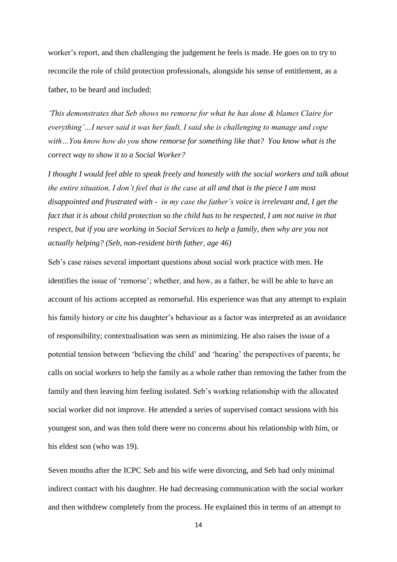worker's report, and then challenging the judgement he feels is made. He goes on to try to reconcile the role of child protection professionals, alongside his sense of entitlement, as a father, to be heard and included:

*'This demonstrates that Seb shows no remorse for what he has done & blames Claire for everything'…I never said it was her fault, I said she is challenging to manage and cope with…You know how do you show remorse for something like that? You know what is the correct way to show it to a Social Worker?* 

*I thought I would feel able to speak freely and honestly with the social workers and talk about the entire situation, I don't feel that is the case at all and that is the piece I am most disappointed and frustrated with - in my case the father's voice is irrelevant and, I get the fact that it is about child protection so the child has to be respected, I am not naive in that respect, but if you are working in Social Services to help a family, then why are you not actually helping? (Seb, non-resident birth father, age 46)*

Seb's case raises several important questions about social work practice with men. He identifies the issue of 'remorse'; whether, and how, as a father, he will be able to have an account of his actions accepted as remorseful. His experience was that any attempt to explain his family history or cite his daughter's behaviour as a factor was interpreted as an avoidance of responsibility; contextualisation was seen as minimizing. He also raises the issue of a potential tension between 'believing the child' and 'hearing' the perspectives of parents; he calls on social workers to help the family as a whole rather than removing the father from the family and then leaving him feeling isolated. Seb's working relationship with the allocated social worker did not improve. He attended a series of supervised contact sessions with his youngest son, and was then told there were no concerns about his relationship with him, or his eldest son (who was 19).

Seven months after the ICPC Seb and his wife were divorcing, and Seb had only minimal indirect contact with his daughter. He had decreasing communication with the social worker and then withdrew completely from the process. He explained this in terms of an attempt to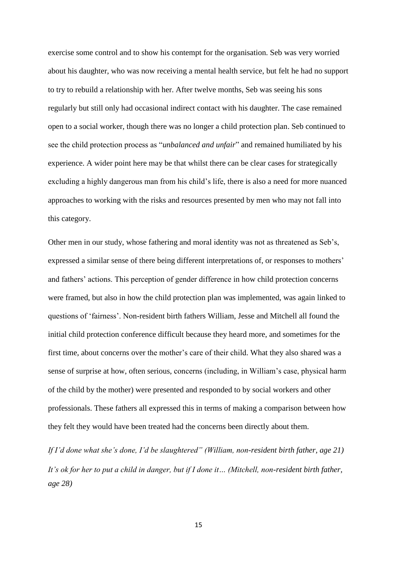exercise some control and to show his contempt for the organisation. Seb was very worried about his daughter, who was now receiving a mental health service, but felt he had no support to try to rebuild a relationship with her. After twelve months, Seb was seeing his sons regularly but still only had occasional indirect contact with his daughter. The case remained open to a social worker, though there was no longer a child protection plan. Seb continued to see the child protection process as "*unbalanced and unfair*" and remained humiliated by his experience. A wider point here may be that whilst there can be clear cases for strategically excluding a highly dangerous man from his child's life, there is also a need for more nuanced approaches to working with the risks and resources presented by men who may not fall into this category.

Other men in our study, whose fathering and moral identity was not as threatened as Seb's, expressed a similar sense of there being different interpretations of, or responses to mothers' and fathers' actions. This perception of gender difference in how child protection concerns were framed, but also in how the child protection plan was implemented, was again linked to questions of 'fairness'. Non-resident birth fathers William, Jesse and Mitchell all found the initial child protection conference difficult because they heard more, and sometimes for the first time, about concerns over the mother's care of their child. What they also shared was a sense of surprise at how, often serious, concerns (including, in William's case, physical harm of the child by the mother) were presented and responded to by social workers and other professionals. These fathers all expressed this in terms of making a comparison between how they felt they would have been treated had the concerns been directly about them.

*If I'd done what she's done, I'd be slaughtered" (William, non-resident birth father, age 21) It's ok for her to put a child in danger, but if I done it… (Mitchell, non-resident birth father, age 28)*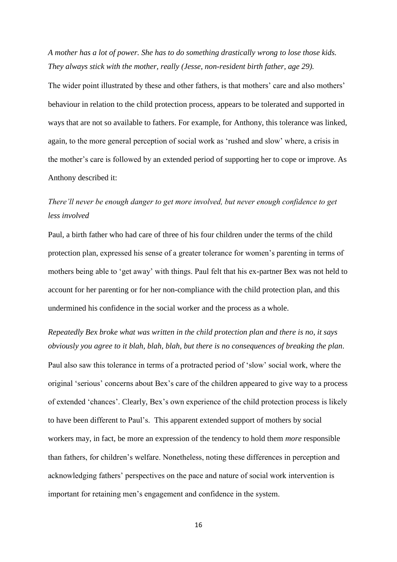*A mother has a lot of power. She has to do something drastically wrong to lose those kids. They always stick with the mother, really (Jesse, non-resident birth father, age 29).*

The wider point illustrated by these and other fathers, is that mothers' care and also mothers' behaviour in relation to the child protection process, appears to be tolerated and supported in ways that are not so available to fathers. For example, for Anthony, this tolerance was linked, again, to the more general perception of social work as 'rushed and slow' where, a crisis in the mother's care is followed by an extended period of supporting her to cope or improve. As Anthony described it:

# *There'll never be enough danger to get more involved, but never enough confidence to get less involved*

Paul, a birth father who had care of three of his four children under the terms of the child protection plan, expressed his sense of a greater tolerance for women's parenting in terms of mothers being able to 'get away' with things. Paul felt that his ex-partner Bex was not held to account for her parenting or for her non-compliance with the child protection plan, and this undermined his confidence in the social worker and the process as a whole.

*Repeatedly Bex broke what was written in the child protection plan and there is no, it says obviously you agree to it blah, blah, blah, but there is no consequences of breaking the plan*.

Paul also saw this tolerance in terms of a protracted period of 'slow' social work, where the original 'serious' concerns about Bex's care of the children appeared to give way to a process of extended 'chances'. Clearly, Bex's own experience of the child protection process is likely to have been different to Paul's. This apparent extended support of mothers by social workers may, in fact, be more an expression of the tendency to hold them *more* responsible than fathers, for children's welfare. Nonetheless, noting these differences in perception and acknowledging fathers' perspectives on the pace and nature of social work intervention is important for retaining men's engagement and confidence in the system.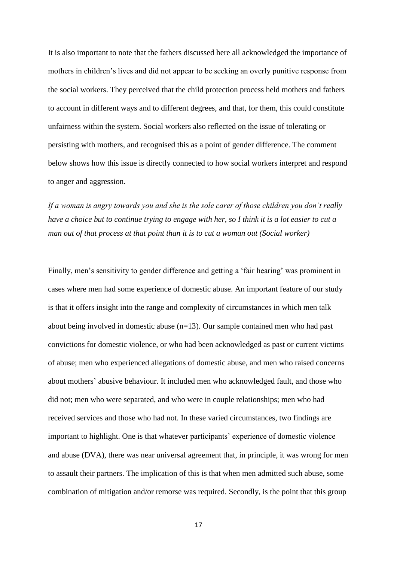It is also important to note that the fathers discussed here all acknowledged the importance of mothers in children's lives and did not appear to be seeking an overly punitive response from the social workers. They perceived that the child protection process held mothers and fathers to account in different ways and to different degrees, and that, for them, this could constitute unfairness within the system. Social workers also reflected on the issue of tolerating or persisting with mothers, and recognised this as a point of gender difference. The comment below shows how this issue is directly connected to how social workers interpret and respond to anger and aggression.

*If a woman is angry towards you and she is the sole carer of those children you don't really have a choice but to continue trying to engage with her, so I think it is a lot easier to cut a man out of that process at that point than it is to cut a woman out (Social worker)*

Finally, men's sensitivity to gender difference and getting a 'fair hearing' was prominent in cases where men had some experience of domestic abuse. An important feature of our study is that it offers insight into the range and complexity of circumstances in which men talk about being involved in domestic abuse (n=13). Our sample contained men who had past convictions for domestic violence, or who had been acknowledged as past or current victims of abuse; men who experienced allegations of domestic abuse, and men who raised concerns about mothers' abusive behaviour. It included men who acknowledged fault, and those who did not; men who were separated, and who were in couple relationships; men who had received services and those who had not. In these varied circumstances, two findings are important to highlight. One is that whatever participants' experience of domestic violence and abuse (DVA), there was near universal agreement that, in principle, it was wrong for men to assault their partners. The implication of this is that when men admitted such abuse, some combination of mitigation and/or remorse was required. Secondly, is the point that this group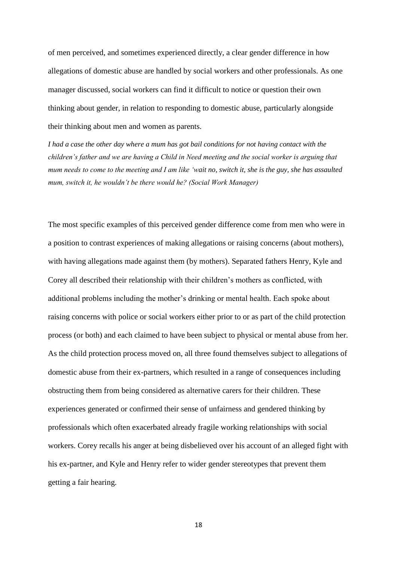of men perceived, and sometimes experienced directly, a clear gender difference in how allegations of domestic abuse are handled by social workers and other professionals. As one manager discussed, social workers can find it difficult to notice or question their own thinking about gender, in relation to responding to domestic abuse, particularly alongside their thinking about men and women as parents.

*I had a case the other day where a mum has got bail conditions for not having contact with the children's father and we are having a Child in Need meeting and the social worker is arguing that mum needs to come to the meeting and I am like 'wait no, switch it, she is the guy, she has assaulted mum, switch it, he wouldn't be there would he? (Social Work Manager)*

The most specific examples of this perceived gender difference come from men who were in a position to contrast experiences of making allegations or raising concerns (about mothers), with having allegations made against them (by mothers). Separated fathers Henry, Kyle and Corey all described their relationship with their children's mothers as conflicted, with additional problems including the mother's drinking or mental health. Each spoke about raising concerns with police or social workers either prior to or as part of the child protection process (or both) and each claimed to have been subject to physical or mental abuse from her. As the child protection process moved on, all three found themselves subject to allegations of domestic abuse from their ex-partners, which resulted in a range of consequences including obstructing them from being considered as alternative carers for their children. These experiences generated or confirmed their sense of unfairness and gendered thinking by professionals which often exacerbated already fragile working relationships with social workers. Corey recalls his anger at being disbelieved over his account of an alleged fight with his ex-partner, and Kyle and Henry refer to wider gender stereotypes that prevent them getting a fair hearing.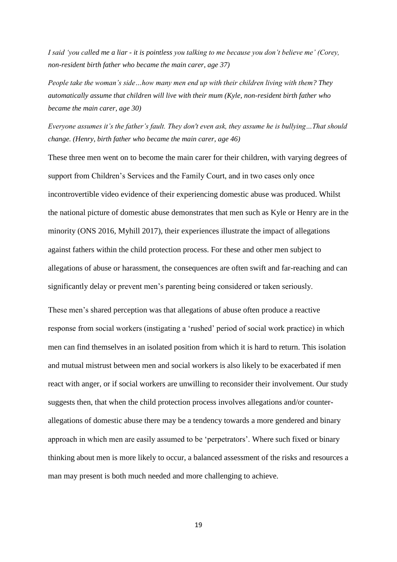*I said 'you called me a liar - it is pointless you talking to me because you don't believe me' (Corey, non-resident birth father who became the main carer, age 37)*

*People take the woman's side…how many men end up with their children living with them? They automatically assume that children will live with their mum (Kyle, non-resident birth father who became the main carer, age 30)*

*Everyone assumes it's the father's fault. They don't even ask, they assume he is bullying…That should change. (Henry, birth father who became the main carer, age 46)*

These three men went on to become the main carer for their children, with varying degrees of support from Children's Services and the Family Court, and in two cases only once incontrovertible video evidence of their experiencing domestic abuse was produced. Whilst the national picture of domestic abuse demonstrates that men such as Kyle or Henry are in the minority (ONS 2016, Myhill 2017), their experiences illustrate the impact of allegations against fathers within the child protection process. For these and other men subject to allegations of abuse or harassment, the consequences are often swift and far-reaching and can significantly delay or prevent men's parenting being considered or taken seriously.

These men's shared perception was that allegations of abuse often produce a reactive response from social workers (instigating a 'rushed' period of social work practice) in which men can find themselves in an isolated position from which it is hard to return. This isolation and mutual mistrust between men and social workers is also likely to be exacerbated if men react with anger, or if social workers are unwilling to reconsider their involvement. Our study suggests then, that when the child protection process involves allegations and/or counterallegations of domestic abuse there may be a tendency towards a more gendered and binary approach in which men are easily assumed to be 'perpetrators'. Where such fixed or binary thinking about men is more likely to occur, a balanced assessment of the risks and resources a man may present is both much needed and more challenging to achieve.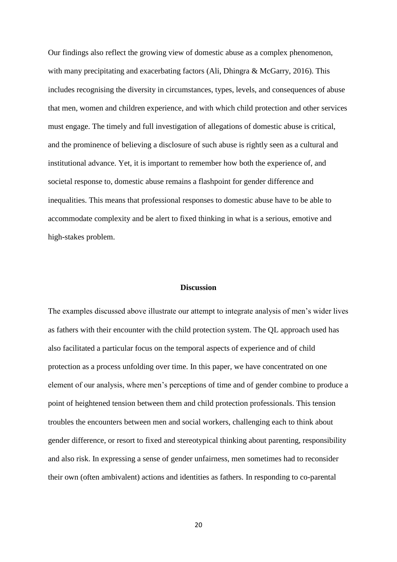Our findings also reflect the growing view of domestic abuse as a complex phenomenon, with many precipitating and exacerbating factors (Ali, Dhingra & McGarry, 2016). This includes recognising the diversity in circumstances, types, levels, and consequences of abuse that men, women and children experience, and with which child protection and other services must engage. The timely and full investigation of allegations of domestic abuse is critical, and the prominence of believing a disclosure of such abuse is rightly seen as a cultural and institutional advance. Yet, it is important to remember how both the experience of, and societal response to, domestic abuse remains a flashpoint for gender difference and inequalities. This means that professional responses to domestic abuse have to be able to accommodate complexity and be alert to fixed thinking in what is a serious, emotive and high-stakes problem.

#### **Discussion**

The examples discussed above illustrate our attempt to integrate analysis of men's wider lives as fathers with their encounter with the child protection system. The QL approach used has also facilitated a particular focus on the temporal aspects of experience and of child protection as a process unfolding over time. In this paper, we have concentrated on one element of our analysis, where men's perceptions of time and of gender combine to produce a point of heightened tension between them and child protection professionals. This tension troubles the encounters between men and social workers, challenging each to think about gender difference, or resort to fixed and stereotypical thinking about parenting, responsibility and also risk. In expressing a sense of gender unfairness, men sometimes had to reconsider their own (often ambivalent) actions and identities as fathers. In responding to co-parental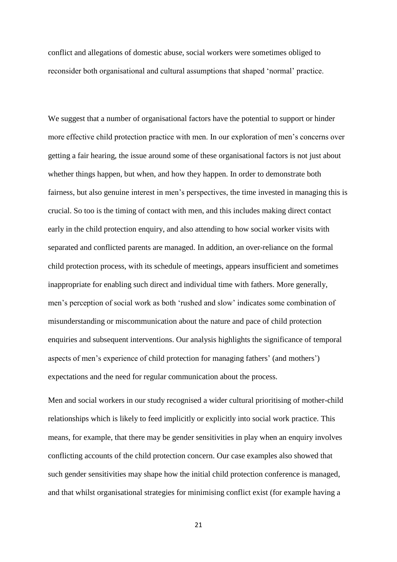conflict and allegations of domestic abuse, social workers were sometimes obliged to reconsider both organisational and cultural assumptions that shaped 'normal' practice.

We suggest that a number of organisational factors have the potential to support or hinder more effective child protection practice with men. In our exploration of men's concerns over getting a fair hearing, the issue around some of these organisational factors is not just about whether things happen, but when, and how they happen. In order to demonstrate both fairness, but also genuine interest in men's perspectives, the time invested in managing this is crucial. So too is the timing of contact with men, and this includes making direct contact early in the child protection enquiry, and also attending to how social worker visits with separated and conflicted parents are managed. In addition, an over-reliance on the formal child protection process, with its schedule of meetings, appears insufficient and sometimes inappropriate for enabling such direct and individual time with fathers. More generally, men's perception of social work as both 'rushed and slow' indicates some combination of misunderstanding or miscommunication about the nature and pace of child protection enquiries and subsequent interventions. Our analysis highlights the significance of temporal aspects of men's experience of child protection for managing fathers' (and mothers') expectations and the need for regular communication about the process.

Men and social workers in our study recognised a wider cultural prioritising of mother-child relationships which is likely to feed implicitly or explicitly into social work practice. This means, for example, that there may be gender sensitivities in play when an enquiry involves conflicting accounts of the child protection concern. Our case examples also showed that such gender sensitivities may shape how the initial child protection conference is managed, and that whilst organisational strategies for minimising conflict exist (for example having a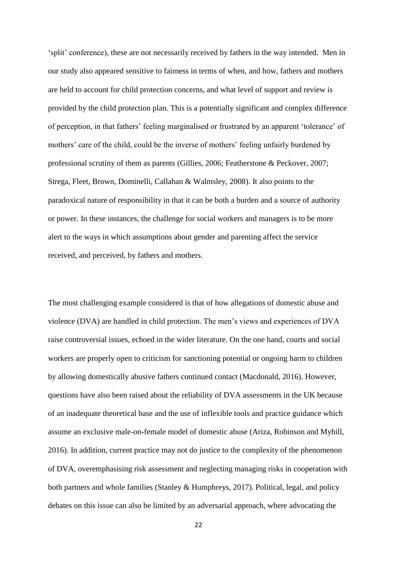'split' conference), these are not necessarily received by fathers in the way intended. Men in our study also appeared sensitive to fairness in terms of when, and how, fathers and mothers are held to account for child protection concerns, and what level of support and review is provided by the child protection plan. This is a potentially significant and complex difference of perception, in that fathers' feeling marginalised or frustrated by an apparent 'tolerance' of mothers' care of the child, could be the inverse of mothers' feeling unfairly burdened by professional scrutiny of them as parents (Gillies, 2006; Featherstone & Peckover, 2007; Strega, Fleet, Brown, Dominelli, Callahan & Walmsley, 2008). It also points to the paradoxical nature of responsibility in that it can be both a burden and a source of authority or power. In these instances, the challenge for social workers and managers is to be more alert to the ways in which assumptions about gender and parenting affect the service received, and perceived, by fathers and mothers.

The most challenging example considered is that of how allegations of domestic abuse and violence (DVA) are handled in child protection. The men's views and experiences of DVA raise controversial issues, echoed in the wider literature. On the one hand, courts and social workers are properly open to criticism for sanctioning potential or ongoing harm to children by allowing domestically abusive fathers continued contact (Macdonald, 2016). However, questions have also been raised about the reliability of DVA assessments in the UK because of an inadequate theoretical base and the use of inflexible tools and practice guidance which assume an exclusive male-on-female model of domestic abuse (Ariza, Robinson and Myhill, 2016). In addition, current practice may not do justice to the complexity of the phenomenon of DVA, overemphasising risk assessment and neglecting managing risks in cooperation with both partners and whole families (Stanley & Humphreys, 2017). Political, legal, and policy debates on this issue can also be limited by an adversarial approach, where advocating the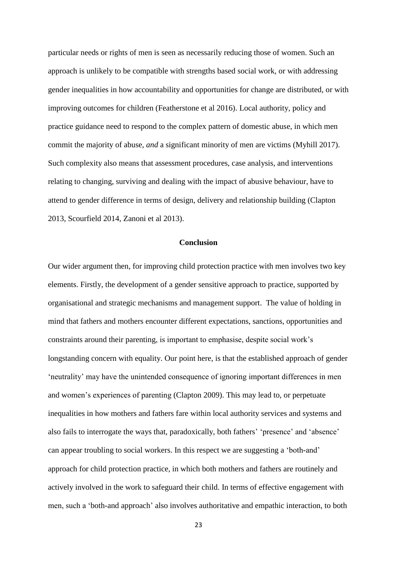particular needs or rights of men is seen as necessarily reducing those of women. Such an approach is unlikely to be compatible with strengths based social work, or with addressing gender inequalities in how accountability and opportunities for change are distributed, or with improving outcomes for children (Featherstone et al 2016). Local authority, policy and practice guidance need to respond to the complex pattern of domestic abuse, in which men commit the majority of abuse, *and* a significant minority of men are victims (Myhill 2017). Such complexity also means that assessment procedures, case analysis, and interventions relating to changing, surviving and dealing with the impact of abusive behaviour, have to attend to gender difference in terms of design, delivery and relationship building (Clapton 2013, Scourfield 2014, Zanoni et al 2013).

### **Conclusion**

Our wider argument then, for improving child protection practice with men involves two key elements. Firstly, the development of a gender sensitive approach to practice, supported by organisational and strategic mechanisms and management support. The value of holding in mind that fathers and mothers encounter different expectations, sanctions, opportunities and constraints around their parenting, is important to emphasise, despite social work's longstanding concern with equality. Our point here, is that the established approach of gender 'neutrality' may have the unintended consequence of ignoring important differences in men and women's experiences of parenting (Clapton 2009). This may lead to, or perpetuate inequalities in how mothers and fathers fare within local authority services and systems and also fails to interrogate the ways that, paradoxically, both fathers' 'presence' and 'absence' can appear troubling to social workers. In this respect we are suggesting a 'both-and' approach for child protection practice, in which both mothers and fathers are routinely and actively involved in the work to safeguard their child. In terms of effective engagement with men, such a 'both-and approach' also involves authoritative and empathic interaction, to both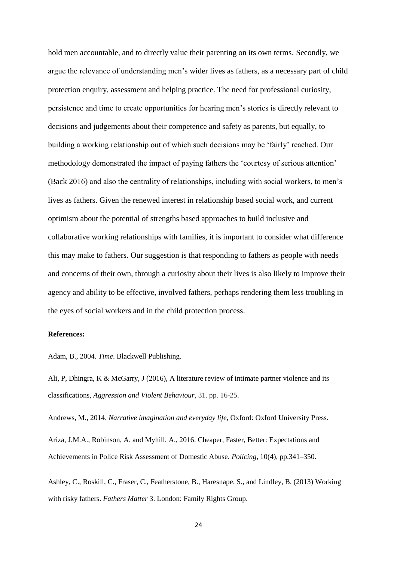hold men accountable, and to directly value their parenting on its own terms. Secondly, we argue the relevance of understanding men's wider lives as fathers, as a necessary part of child protection enquiry, assessment and helping practice. The need for professional curiosity, persistence and time to create opportunities for hearing men's stories is directly relevant to decisions and judgements about their competence and safety as parents, but equally, to building a working relationship out of which such decisions may be 'fairly' reached. Our methodology demonstrated the impact of paying fathers the 'courtesy of serious attention' (Back 2016) and also the centrality of relationships, including with social workers, to men's lives as fathers. Given the renewed interest in relationship based social work, and current optimism about the potential of strengths based approaches to build inclusive and collaborative working relationships with families, it is important to consider what difference this may make to fathers. Our suggestion is that responding to fathers as people with needs and concerns of their own, through a curiosity about their lives is also likely to improve their agency and ability to be effective, involved fathers, perhaps rendering them less troubling in the eyes of social workers and in the child protection process.

### **References:**

Adam, B., 2004. *Time*. Blackwell Publishing.

Ali, P, Dhingra, K & McGarry, J (2016), A literature review of intimate partner violence and its classifications, *Aggression and Violent Behaviour*, 31. pp. 16-25.

Andrews, M., 2014. *Narrative imagination and everyday life*, Oxford: Oxford University Press.

Ariza, J.M.A., Robinson, A. and Myhill, A., 2016. Cheaper, Faster, Better: Expectations and Achievements in Police Risk Assessment of Domestic Abuse. *Policing*, 10(4), pp.341–350.

Ashley, C., Roskill, C., Fraser, C., Featherstone, B., Haresnape, S., and Lindley, B. (2013) Working with risky fathers. *Fathers Matter* 3. London: Family Rights Group.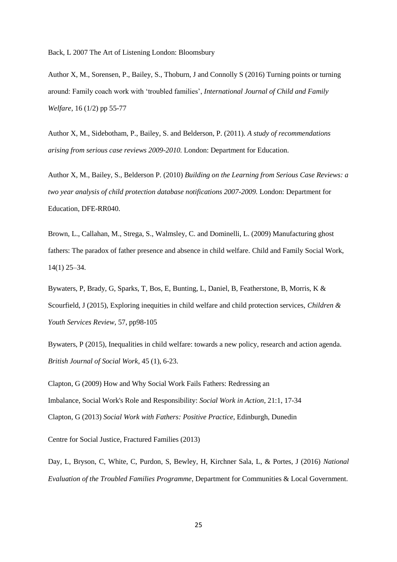Back, L 2007 The Art of Listening London: Bloomsbury

Author X, M., Sorensen, P., Bailey, S., Thoburn, J and Connolly S (2016) Turning points or turning around: Family coach work with 'troubled families', *International Journal of Child and Family Welfare*, 16 (1/2) pp 55-77

Author X, M., Sidebotham, P., Bailey, S. and Belderson, P. (2011)*. A study of recommendations arising from serious case reviews 2009-2010.* London: Department for Education.

Author X, M., Bailey, S., Belderson P. (2010) *Building on the Learning from Serious Case Reviews: a two year analysis of child protection database notifications 2007-2009.* London: Department for Education, DFE-RR040.

Brown, L., Callahan, M., Strega, S., Walmsley, C. and Dominelli, L. (2009) Manufacturing ghost fathers: The paradox of father presence and absence in child welfare. Child and Family Social Work, 14(1) 25–34.

Bywaters, P, Brady, G, Sparks, T, Bos, E, Bunting, L, Daniel, B, Featherstone, B, Morris, K & Scourfield, J (2015), Exploring inequities in child welfare and child protection services, *Children & Youth Services Review*, 57, pp98-105

Bywaters, P (2015), Inequalities in child welfare: towards a new policy, research and action agenda. *British Journal of Social Work*, 45 (1), 6-23.

Clapton, G (2009) How and Why Social Work Fails Fathers: Redressing an Imbalance, Social Work's Role and Responsibility: *Social Work in Action*, 21:1, 17-34 Clapton, G (2013) *Social Work with Fathers: Positive Practice*, Edinburgh, Dunedin

Centre for Social Justice, Fractured Families (2013)

Day, L, Bryson, C, White, C, Purdon, S, Bewley, H, Kirchner Sala, L, & Portes, J (2016) *National Evaluation of the Troubled Families Programme*, Department for Communities & Local Government.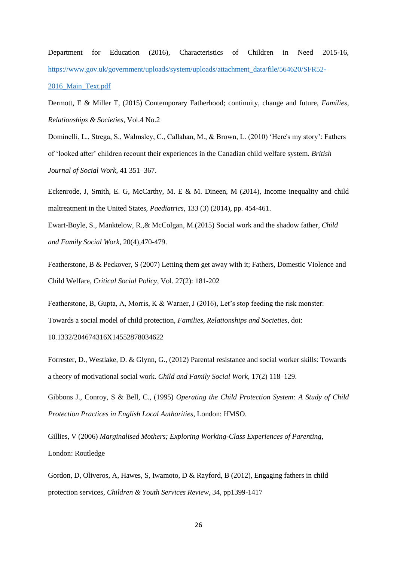Department for Education (2016), Characteristics of Children in Need 2015-16, [https://www.gov.uk/government/uploads/system/uploads/attachment\\_data/file/564620/SFR52-](https://www.gov.uk/government/uploads/system/uploads/attachment_data/file/564620/SFR52-2016_Main_Text.pdf) [2016\\_Main\\_Text.pdf](https://www.gov.uk/government/uploads/system/uploads/attachment_data/file/564620/SFR52-2016_Main_Text.pdf)

Dermott, E & Miller T, (2015) Contemporary Fatherhood; continuity, change and future, *Families, Relationships & Societies*, Vol.4 No.2

Dominelli, L., Strega, S., Walmsley, C., Callahan, M., & Brown, L. (2010) 'Here's my story': Fathers of 'looked after' children recount their experiences in the Canadian child welfare system. *British Journal of Social Work*, 41 351–367.

Eckenrode, J, Smith, E. G, McCarthy, M. E & M. Dineen, M (2014), Income inequality and child maltreatment in the United States, *Paediatrics*, 133 (3) (2014), pp. 454-461.

Ewart-Boyle, S., Manktelow, R.,& McColgan, M.(2015) Social work and the shadow father, *Child and Family Social Work*, 20(4),470-479.

Featherstone, B & Peckover, S (2007) Letting them get away with it; Fathers, Domestic Violence and Child Welfare, *Critical Social Policy*, Vol. 27(2): 181-202

Featherstone, B, Gupta, A, Morris, K & Warner, J (2016), Let's stop feeding the risk monster: Towards a social model of child protection, *Families, Relationships and Societies*, doi: 10.1332/204674316X14552878034622

Forrester, D., Westlake, D. & Glynn, G., (2012) Parental resistance and social worker skills: Towards a theory of motivational social work. *Child and Family Social Work*, 17(2) 118–129.

Gibbons J., Conroy, S & Bell, C., (1995) *Operating the Child Protection System: A Study of Child Protection Practices in English Local Authorities*, London: HMSO.

Gillies, V (2006) *Marginalised Mothers; Exploring Working-Class Experiences of Parenting*, London: Routledge

Gordon, D, Oliveros, A, Hawes, S, Iwamoto, D & Rayford, B (2012), Engaging fathers in child protection services, *Children & Youth Services Review*, 34, pp1399-1417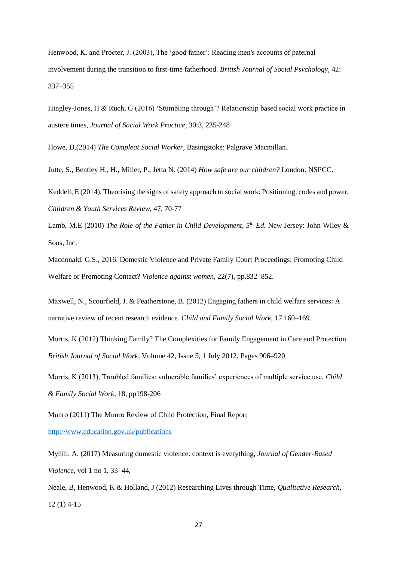Henwood, K. and Procter, J. (2003), The 'good father': Reading men's accounts of paternal involvement during the transition to first-time fatherhood. *British Journal of Social Psychology*, 42: 337–355

Hingley-Jones, H & Ruch, G (2016) 'Stumbling through'? Relationship based social work practice in austere times, *Journal of Social Work Practice*, 30:3, 235-248

Howe, D,(2014) *The Compleat Social Worker,* Basingstoke: Palgrave Macmillan.

Jutte, S., Bentley H., H., Miller, P., Jetta N. (2014) *How safe are our children?* London: NSPCC.

Keddell, E (2014), Theorising the signs of safety approach to social work: Positioning, codes and power, *Children & Youth Services Review*, 47, 70-77

Lamb, M.E (2010) *The Role of the Father in Child Development, 5th Ed.* New Jersey: John Wiley & Sons, Inc.

Macdonald, G.S., 2016. Domestic Violence and Private Family Court Proceedings: Promoting Child Welfare or Promoting Contact? *Violence against women*, 22(7), pp.832–852.

Maxwell, N., Scourfield, J. & Featherstone, B. (2012) Engaging fathers in child welfare services: A narrative review of recent research evidence. *Child and Family Social Work*, 17 160–169.

Morris, K (2012) Thinking Family? The Complexities for Family Engagement in Care and Protection *British Journal of Social Work*, Volume 42, Issue 5, 1 July 2012, Pages 906–920

Morris, K (2013), Troubled families: vulnerable families' experiences of multiple service use, *Child & Family Social Work*, 18, pp198-206

Munro (2011) The Munro Review of Child Protection, Final Report <http://www.education.gov.uk/publications>

Myhill, A. (2017) Measuring domestic violence: context is everything, *Journal of Gender-Based Violence*, vol 1 no 1, 33–44,

Neale, B, Henwood, K & Holland, J (2012) Researching Lives through Time, *Qualitative Research*, 12 (1) 4-15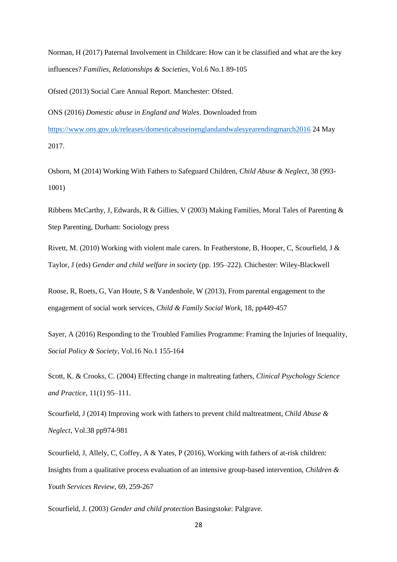Norman, H (2017) Paternal Involvement in Childcare: How can it be classified and what are the key influences? *Families, Relationships & Societies*, Vol.6 No.1 89-105

Ofsted (2013) Social Care Annual Report. Manchester: Ofsted.

ONS (2016) *Domestic abuse in England and Wales*. Downloaded from <https://www.ons.gov.uk/releases/domesticabuseinenglandandwalesyearendingmarch2016> 24 May 2017.

Osborn, M (2014) Working With Fathers to Safeguard Children, *Child Abuse & Neglect*, 38 (993- 1001)

Ribbens McCarthy, J, Edwards, R & Gillies, V (2003) Making Families, Moral Tales of Parenting & Step Parenting, Durham: Sociology press

Rivett, M. (2010) Working with violent male carers. In Featherstone, B, Hooper, C, Scourfield, J & Taylor, J (eds) *Gender and child welfare in society* (pp. 195–222). Chichester: Wiley-Blackwell

Roose, R, Roets, G, Van Houte, S & Vandenhole, W (2013), From parental engagement to the engagement of social work services, *Child & Family Social Work*, 18, pp449-457

Sayer, A (2016) Responding to the Troubled Families Programme: Framing the Injuries of Inequality, *Social Policy & Society*, Vol.16 No.1 155-164

Scott, K. & Crooks, C. (2004) Effecting change in maltreating fathers, *Clinical Psychology Science and Practice*, 11(1) 95–111.

Scourfield, J (2014) Improving work with fathers to prevent child maltreatment, *Child Abuse & Neglect*, Vol.38 pp974-981

Scourfield, J, Allely, C, Coffey, A & Yates, P (2016), Working with fathers of at-risk children: Insights from a qualitative process evaluation of an intensive group-based intervention, *Children & Youth Services Review*, 69, 259-267

Scourfield, J. (2003) *Gender and child protection* Basingstoke: Palgrave.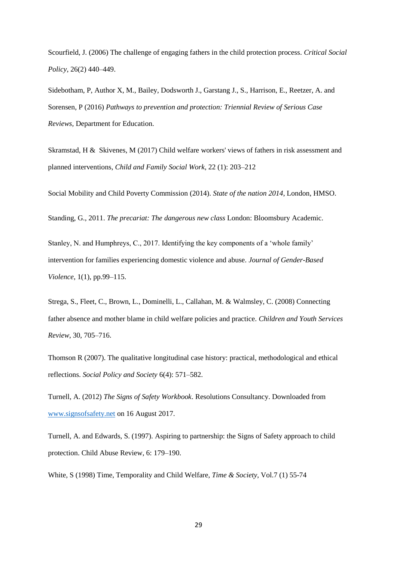Scourfield, J. (2006) The challenge of engaging fathers in the child protection process. *Critical Social Policy*, 26(2) 440–449.

Sidebotham, P, Author X, M., Bailey, Dodsworth J., Garstang J., S., Harrison, E., Reetzer, A. and Sorensen, P (2016) *Pathways to prevention and protection: Triennial Review of Serious Case Reviews,* Department for Education.

Skramstad, H & Skivenes, M (2017) Child welfare workers' views of fathers in risk assessment and planned interventions, *Child and Family Social Work*, 22 (1): 203–212

Social Mobility and Child Poverty Commission (2014). *State of the nation 2014*, London, HMSO.

Standing, G., 2011. *The precariat: The dangerous new class* London: Bloomsbury Academic.

Stanley, N. and Humphreys, C., 2017. Identifying the key components of a 'whole family' intervention for families experiencing domestic violence and abuse. *Journal of Gender-Based Violence*, 1(1), pp.99–115.

Strega, S., Fleet, C., Brown, L., Dominelli, L., Callahan, M. & Walmsley, C. (2008) Connecting father absence and mother blame in child welfare policies and practice. *Children and Youth Services Review*, 30, 705–716.

Thomson R (2007). The qualitative longitudinal case history: practical, methodological and ethical reflections. *Social Policy and Society* 6(4): 571–582.

Turnell, A. (2012) *The Signs of Safety Workbook*. Resolutions Consultancy. Downloaded from [www.signsofsafety.net](http://www.signsofsafety.net/) on 16 August 2017.

Turnell, A. and Edwards, S. (1997). Aspiring to partnership: the Signs of Safety approach to child protection. Child Abuse Review, 6: 179–190.

White, S (1998) Time, Temporality and Child Welfare, *Time & Society*, Vol.7 (1) 55-74